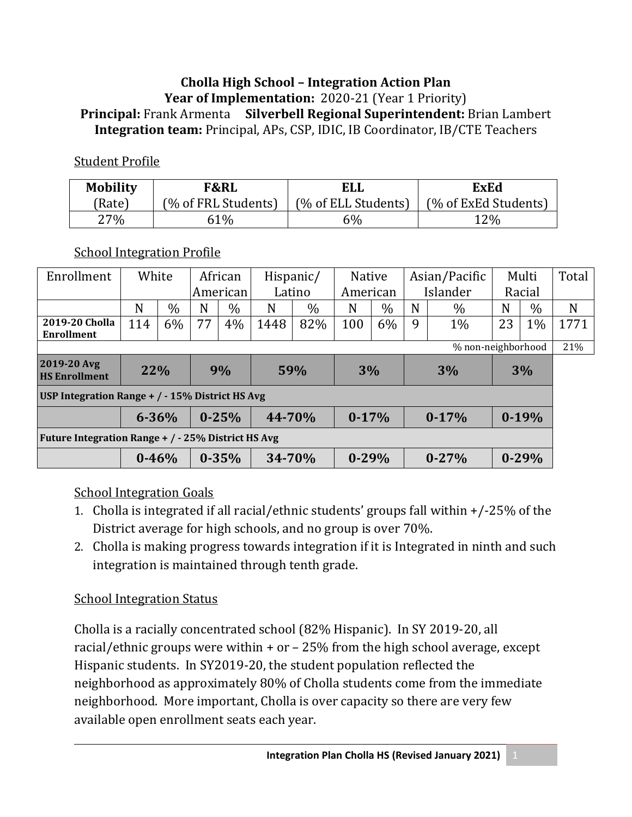#### **Cholla High School – Integration Action Plan Year of Implementation:** 2020-21 (Year 1 Priority) **Principal:** Frank Armenta **Silverbell Regional Superintendent:** Brian Lambert **Integration team:** Principal, APs, CSP, IDIC, IB Coordinator, IB/CTE Teachers

#### Student Profile

| <b>Mobility</b> | <b>F&amp;RL</b>     | ELL                 | <b>ExEd</b>          |  |  |  |
|-----------------|---------------------|---------------------|----------------------|--|--|--|
| (Rate)          | (% of FRL Students) | (% of ELL Students) | (% of ExEd Students) |  |  |  |
| $27\%$          | 61%                 | 6%                  | 12%                  |  |  |  |

#### School Integration Profile

| Enrollment                                          | White     |      | African   |           | Hispanic/ |      | <b>Native</b> |      | Asian/Pacific |           | Multi   |           | Total |
|-----------------------------------------------------|-----------|------|-----------|-----------|-----------|------|---------------|------|---------------|-----------|---------|-----------|-------|
|                                                     |           |      | American  |           | Latino    |      | American      |      | Islander      |           | Racial  |           |       |
|                                                     | N         | $\%$ | N         | $\%$      | N         | $\%$ | N             | $\%$ | N             | $\%$      | N       | $\%$      | N     |
| 2019-20 Cholla<br><b>Enrollment</b>                 | 114       | 6%   | 77        | 4%        | 1448      | 82%  | 100           | 6%   | 9             | $1\%$     | 23      | 1%        | 1771  |
| % non-neighborhood                                  |           |      |           |           |           |      |               |      |               |           |         | 21%       |       |
| 2019-20 Avg<br><b>HS Enrollment</b>                 | 22%       |      | 9%        |           |           | 59%  |               | 3%   |               | 3%        |         | 3%        |       |
| USP Integration Range $+$ / $-$ 15% District HS Avg |           |      |           |           |           |      |               |      |               |           |         |           |       |
|                                                     | $6 - 36%$ |      | $0 - 25%$ |           | 44-70%    |      | $0-17%$       |      | $0-17%$       |           | $0-19%$ |           |       |
| Future Integration Range + / - 25% District HS Avg  |           |      |           |           |           |      |               |      |               |           |         |           |       |
|                                                     | $0 - 46%$ |      |           | $0 - 35%$ | 34-70%    |      | $0 - 29%$     |      |               | $0 - 27%$ |         | $0 - 29%$ |       |

#### School Integration Goals

- 1. Cholla is integrated if all racial/ethnic students' groups fall within +/-25% of the District average for high schools, and no group is over 70%.
- 2. Cholla is making progress towards integration if it is Integrated in ninth and such integration is maintained through tenth grade.

#### School Integration Status

Cholla is a racially concentrated school (82% Hispanic). In SY 2019-20, all racial/ethnic groups were within  $+$  or  $-$  25% from the high school average, except Hispanic students. In SY2019-20, the student population reflected the neighborhood as approximately 80% of Cholla students come from the immediate neighborhood. More important, Cholla is over capacity so there are very few available open enrollment seats each year.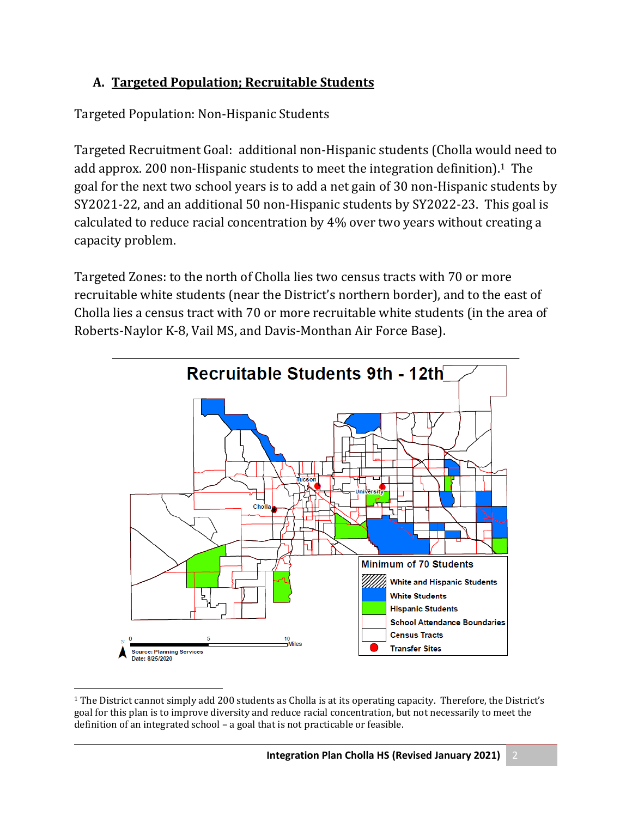## **A. Targeted Population; Recruitable Students**

Targeted Population: Non-Hispanic Students

Targeted Recruitment Goal: additional non-Hispanic students (Cholla would need to add approx. 200 non-Hispanic students to meet the integration definition).1 The goal for the next two school years is to add a net gain of 30 non-Hispanic students by SY2021-22, and an additional 50 non-Hispanic students by SY2022-23. This goal is calculated to reduce racial concentration by 4% over two years without creating a capacity problem.

Targeted Zones: to the north of Cholla lies two census tracts with 70 or more recruitable white students (near the District's northern border), and to the east of Cholla lies a census tract with 70 or more recruitable white students (in the area of Roberts-Naylor K-8, Vail MS, and Davis-Monthan Air Force Base).



 $1$  The District cannot simply add 200 students as Cholla is at its operating capacity. Therefore, the District's goal for this plan is to improve diversity and reduce racial concentration, but not necessarily to meet the definition of an integrated school – a goal that is not practicable or feasible.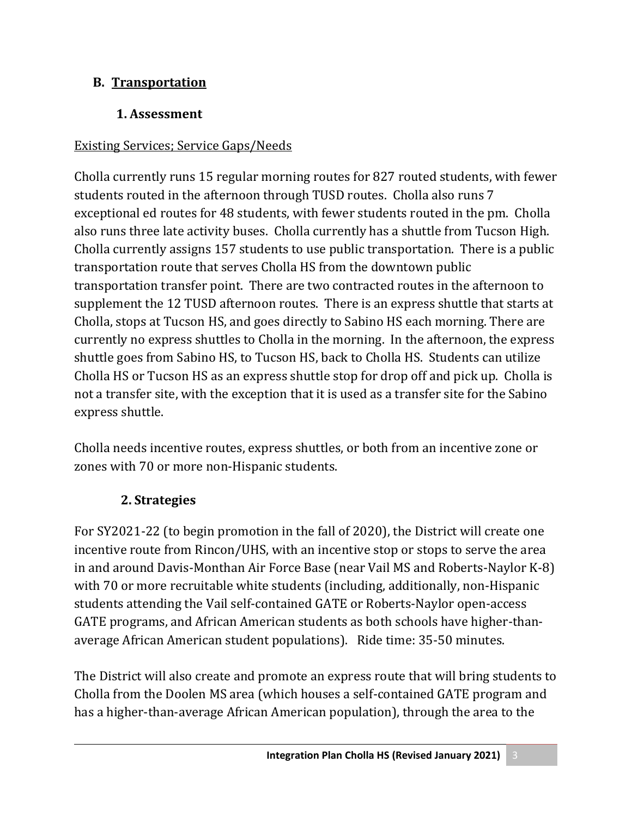#### **B. Transportation**

## 1. Assessment

## Existing Services; Service Gaps/Needs

Cholla currently runs 15 regular morning routes for 827 routed students, with fewer students routed in the afternoon through TUSD routes. Cholla also runs 7 exceptional ed routes for 48 students, with fewer students routed in the pm. Cholla also runs three late activity buses. Cholla currently has a shuttle from Tucson High. Cholla currently assigns 157 students to use public transportation. There is a public transportation route that serves Cholla HS from the downtown public transportation transfer point. There are two contracted routes in the afternoon to supplement the 12 TUSD afternoon routes. There is an express shuttle that starts at Cholla, stops at Tucson HS, and goes directly to Sabino HS each morning. There are currently no express shuttles to Cholla in the morning. In the afternoon, the express shuttle goes from Sabino HS, to Tucson HS, back to Cholla HS. Students can utilize Cholla HS or Tucson HS as an express shuttle stop for drop off and pick up. Cholla is not a transfer site, with the exception that it is used as a transfer site for the Sabino express shuttle.

Cholla needs incentive routes, express shuttles, or both from an incentive zone or zones with 70 or more non-Hispanic students.

## **2. Strategies**

For SY2021-22 (to begin promotion in the fall of 2020), the District will create one incentive route from Rincon/UHS, with an incentive stop or stops to serve the area in and around Davis-Monthan Air Force Base (near Vail MS and Roberts-Naylor K-8) with 70 or more recruitable white students (including, additionally, non-Hispanic students attending the Vail self-contained GATE or Roberts-Naylor open-access GATE programs, and African American students as both schools have higher-thanaverage African American student populations). Ride time: 35-50 minutes.

The District will also create and promote an express route that will bring students to Cholla from the Doolen MS area (which houses a self-contained GATE program and has a higher-than-average African American population), through the area to the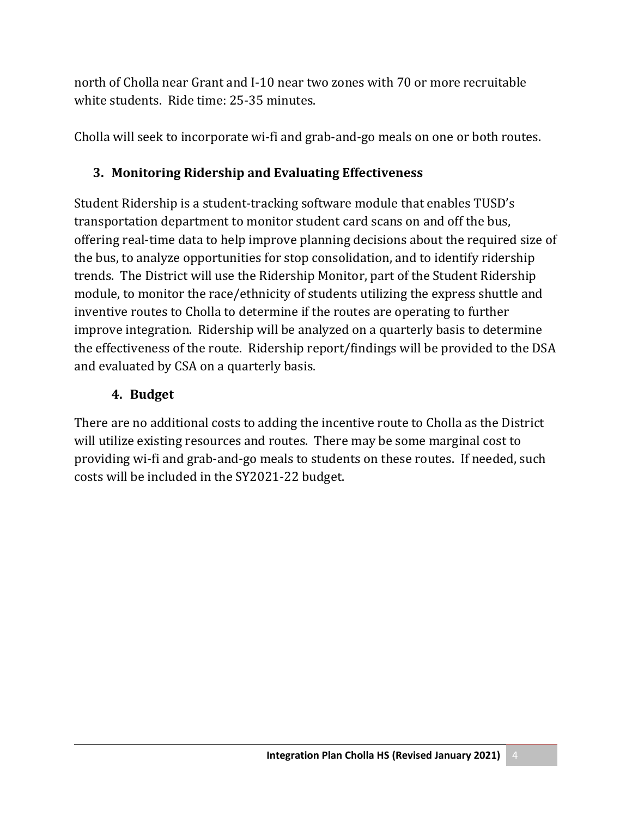north of Cholla near Grant and I-10 near two zones with 70 or more recruitable white students. Ride time: 25-35 minutes.

Cholla will seek to incorporate wi-fi and grab-and-go meals on one or both routes.

## **3. Monitoring Ridership and Evaluating Effectiveness**

Student Ridership is a student-tracking software module that enables TUSD's transportation department to monitor student card scans on and off the bus, offering real-time data to help improve planning decisions about the required size of the bus, to analyze opportunities for stop consolidation, and to identify ridership trends. The District will use the Ridership Monitor, part of the Student Ridership module, to monitor the race/ethnicity of students utilizing the express shuttle and inventive routes to Cholla to determine if the routes are operating to further improve integration. Ridership will be analyzed on a quarterly basis to determine the effectiveness of the route. Ridership report/findings will be provided to the DSA and evaluated by CSA on a quarterly basis.

#### **4. Budget**

There are no additional costs to adding the incentive route to Cholla as the District will utilize existing resources and routes. There may be some marginal cost to providing wi-fi and grab-and-go meals to students on these routes. If needed, such costs will be included in the SY2021-22 budget.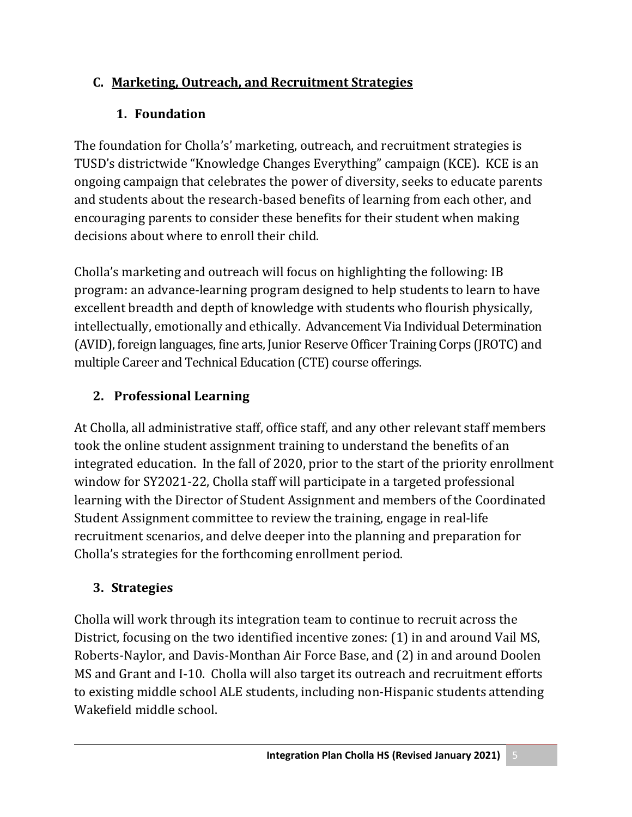## **C. Marketing, Outreach, and Recruitment Strategies**

# **1. Foundation**

The foundation for Cholla's' marketing, outreach, and recruitment strategies is TUSD's districtwide "Knowledge Changes Everything" campaign (KCE). KCE is an ongoing campaign that celebrates the power of diversity, seeks to educate parents and students about the research-based benefits of learning from each other, and encouraging parents to consider these benefits for their student when making decisions about where to enroll their child.

Cholla's marketing and outreach will focus on highlighting the following: IB program: an advance-learning program designed to help students to learn to have excellent breadth and depth of knowledge with students who flourish physically, intellectually, emotionally and ethically. Advancement Via Individual Determination (AVID), foreign languages, fine arts, Junior Reserve Officer Training Corps (JROTC) and multiple Career and Technical Education (CTE) course offerings.

# **2. Professional Learning**

At Cholla, all administrative staff, office staff, and any other relevant staff members took the online student assignment training to understand the benefits of an integrated education. In the fall of 2020, prior to the start of the priority enrollment window for SY2021-22, Cholla staff will participate in a targeted professional learning with the Director of Student Assignment and members of the Coordinated Student Assignment committee to review the training, engage in real-life recruitment scenarios, and delve deeper into the planning and preparation for Cholla's strategies for the forthcoming enrollment period.

# **3. Strategies**

Cholla will work through its integration team to continue to recruit across the District, focusing on the two identified incentive zones: (1) in and around Vail MS, Roberts-Naylor, and Davis-Monthan Air Force Base, and (2) in and around Doolen MS and Grant and I-10. Cholla will also target its outreach and recruitment efforts to existing middle school ALE students, including non-Hispanic students attending Wakefield middle school.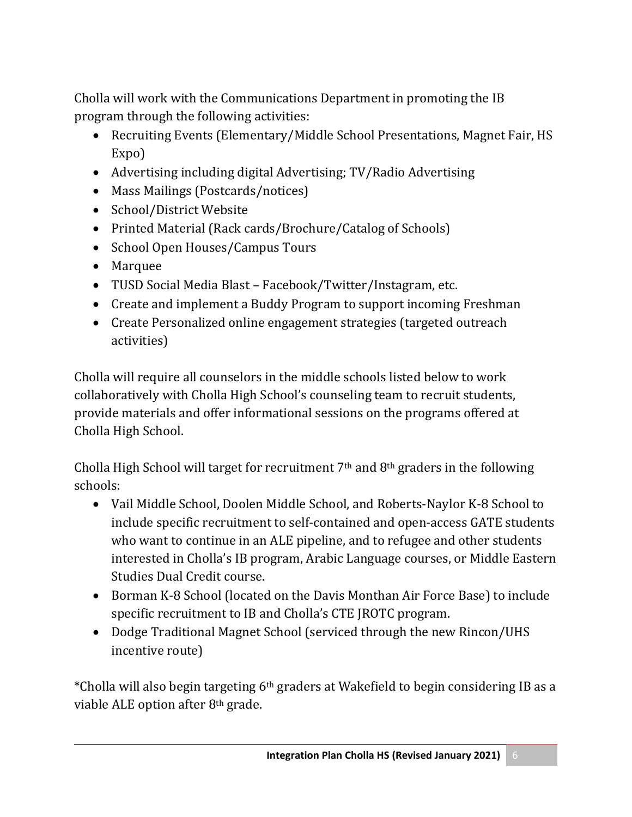Cholla will work with the Communications Department in promoting the IB program through the following activities:

- Recruiting Events (Elementary/Middle School Presentations, Magnet Fair, HS Expo)
- Advertising including digital Advertising; TV/Radio Advertising
- Mass Mailings (Postcards/notices)
- School/District Website
- Printed Material (Rack cards/Brochure/Catalog of Schools)
- School Open Houses/Campus Tours
- Marquee
- TUSD Social Media Blast Facebook/Twitter/Instagram, etc.
- Create and implement a Buddy Program to support incoming Freshman
- Create Personalized online engagement strategies (targeted outreach activities)

Cholla will require all counselors in the middle schools listed below to work collaboratively with Cholla High School's counseling team to recruit students, provide materials and offer informational sessions on the programs offered at Cholla High School.

Cholla High School will target for recruitment 7th and 8th graders in the following schools:

- Vail Middle School, Doolen Middle School, and Roberts-Naylor K-8 School to include specific recruitment to self-contained and open-access GATE students who want to continue in an ALE pipeline, and to refugee and other students interested in Cholla's IB program, Arabic Language courses, or Middle Eastern Studies Dual Credit course.
- Borman K-8 School (located on the Davis Monthan Air Force Base) to include specific recruitment to IB and Cholla's CTE JROTC program.
- Dodge Traditional Magnet School (serviced through the new Rincon/UHS incentive route)

\*Cholla will also begin targeting 6th graders at Wakefield to begin considering IB as a viable ALE option after 8th grade.